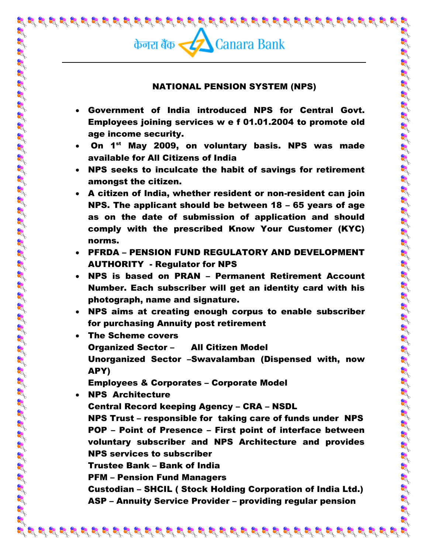1

## NATIONAL PENSION SYSTEM (NPS)

- Government of India introduced NPS for Central Govt. Employees joining services w e f 01.01.2004 to promote old age income security.
- On 1<sup>st</sup> May 2009, on voluntary basis. NPS was made available for All Citizens of India
- NPS seeks to inculcate the habit of savings for retirement amongst the citizen.
- A citizen of India, whether resident or non-resident can join NPS. The applicant should be between 18 – 65 years of age as on the date of submission of application and should comply with the prescribed Know Your Customer (KYC) norms.
- PFRDA PENSION FUND REGULATORY AND DEVELOPMENT AUTHORITY - Regulator for NPS
- NPS is based on PRAN Permanent Retirement Account Number. Each subscriber will get an identity card with his photograph, name and signature.
- NPS aims at creating enough corpus to enable subscriber for purchasing Annuity post retirement
- The Scheme covers Organized Sector – All Citizen Model Unorganized Sector –Swavalamban (Dispensed with, now APY)

Employees & Corporates – Corporate Model

 NPS Architecture Central Record keeping Agency – CRA – NSDL NPS Trust – responsible for taking care of funds under NPS POP – Point of Presence – First point of interface between voluntary subscriber and NPS Architecture and provides NPS services to subscriber Trustee Bank – Bank of India PFM – Pension Fund Managers Custodian – SHCIL ( Stock Holding Corporation of India Ltd.) ASP – Annuity Service Provider – providing regular pension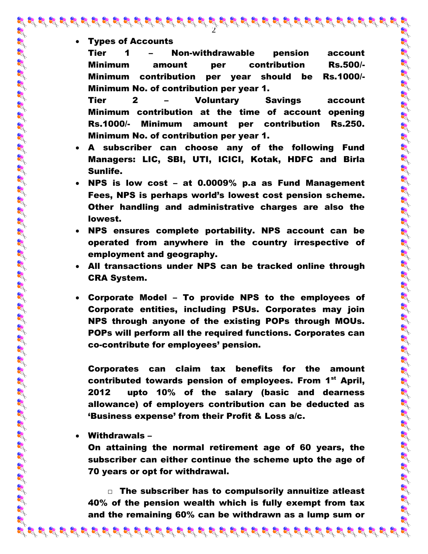Types of Accounts

Tier 1 – Non-withdrawable pension account Minimum amount per contribution Rs.500/- Minimum contribution per year should be Rs.1000/- Minimum No. of contribution per year 1.

2

Tier 2 – Voluntary Savings account Minimum contribution at the time of account opening Rs.1000/- Minimum amount per contribution Rs.250. Minimum No. of contribution per year 1.

- A subscriber can choose any of the following Fund Managers: LIC, SBI, UTI, ICICI, Kotak, HDFC and Birla Sunlife.
- NPS is low cost at 0.0009% p.a as Fund Management Fees, NPS is perhaps world's lowest cost pension scheme. Other handling and administrative charges are also the lowest.
- NPS ensures complete portability. NPS account can be operated from anywhere in the country irrespective of employment and geography.
- All transactions under NPS can be tracked online through CRA System.

 Corporate Model – To provide NPS to the employees of Corporate entities, including PSUs. Corporates may join NPS through anyone of the existing POPs through MOUs. POPs will perform all the required functions. Corporates can co-contribute for employees' pension.

Corporates can claim tax benefits for the amount contributed towards pension of employees. From 1<sup>st</sup> April, 2012 upto 10% of the salary (basic and dearness allowance) of employers contribution can be deducted as 'Business expense' from their Profit & Loss a/c.

Withdrawals –

On attaining the normal retirement age of 60 years, the subscriber can either continue the scheme upto the age of 70 years or opt for withdrawal.

□ The subscriber has to compulsorily annuitize atleast 40% of the pension wealth which is fully exempt from tax and the remaining 60% can be withdrawn as a lump sum or